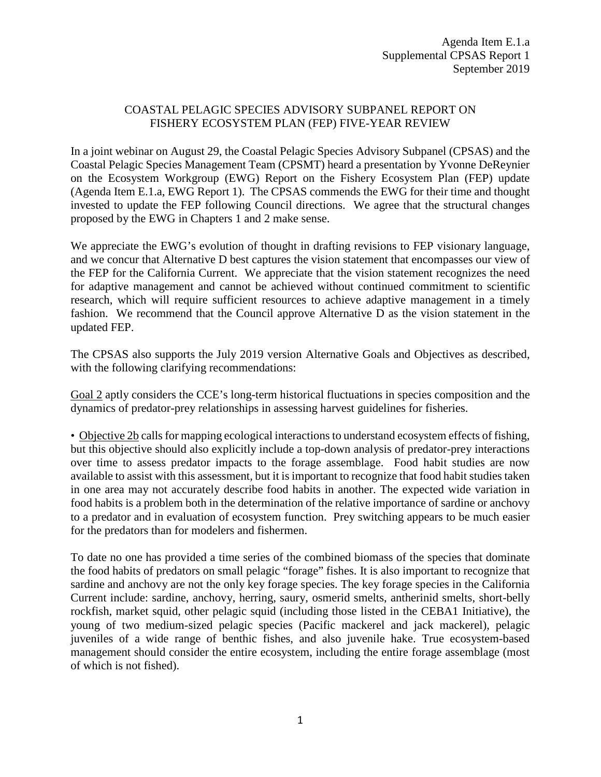## COASTAL PELAGIC SPECIES ADVISORY SUBPANEL REPORT ON FISHERY ECOSYSTEM PLAN (FEP) FIVE-YEAR REVIEW

In a joint webinar on August 29, the Coastal Pelagic Species Advisory Subpanel (CPSAS) and the Coastal Pelagic Species Management Team (CPSMT) heard a presentation by Yvonne DeReynier on the Ecosystem Workgroup (EWG) Report on the Fishery Ecosystem Plan (FEP) update (Agenda Item E.1.a, EWG Report 1). The CPSAS commends the EWG for their time and thought invested to update the FEP following Council directions. We agree that the structural changes proposed by the EWG in Chapters 1 and 2 make sense.

We appreciate the EWG's evolution of thought in drafting revisions to FEP visionary language, and we concur that Alternative D best captures the vision statement that encompasses our view of the FEP for the California Current. We appreciate that the vision statement recognizes the need for adaptive management and cannot be achieved without continued commitment to scientific research, which will require sufficient resources to achieve adaptive management in a timely fashion. We recommend that the Council approve Alternative D as the vision statement in the updated FEP.

The CPSAS also supports the July 2019 version Alternative Goals and Objectives as described, with the following clarifying recommendations:

Goal 2 aptly considers the CCE's long-term historical fluctuations in species composition and the dynamics of predator-prey relationships in assessing harvest guidelines for fisheries.

• Objective 2b calls for mapping ecological interactions to understand ecosystem effects of fishing, but this objective should also explicitly include a top-down analysis of predator-prey interactions over time to assess predator impacts to the forage assemblage. Food habit studies are now available to assist with this assessment, but it is important to recognize that food habit studies taken in one area may not accurately describe food habits in another. The expected wide variation in food habits is a problem both in the determination of the relative importance of sardine or anchovy to a predator and in evaluation of ecosystem function. Prey switching appears to be much easier for the predators than for modelers and fishermen.

To date no one has provided a time series of the combined biomass of the species that dominate the food habits of predators on small pelagic "forage" fishes. It is also important to recognize that sardine and anchovy are not the only key forage species. The key forage species in the California Current include: sardine, anchovy, herring, saury, osmerid smelts, antherinid smelts, short-belly rockfish, market squid, other pelagic squid (including those listed in the CEBA1 Initiative), the young of two medium-sized pelagic species (Pacific mackerel and jack mackerel), pelagic juveniles of a wide range of benthic fishes, and also juvenile hake. True ecosystem-based management should consider the entire ecosystem, including the entire forage assemblage (most of which is not fished).